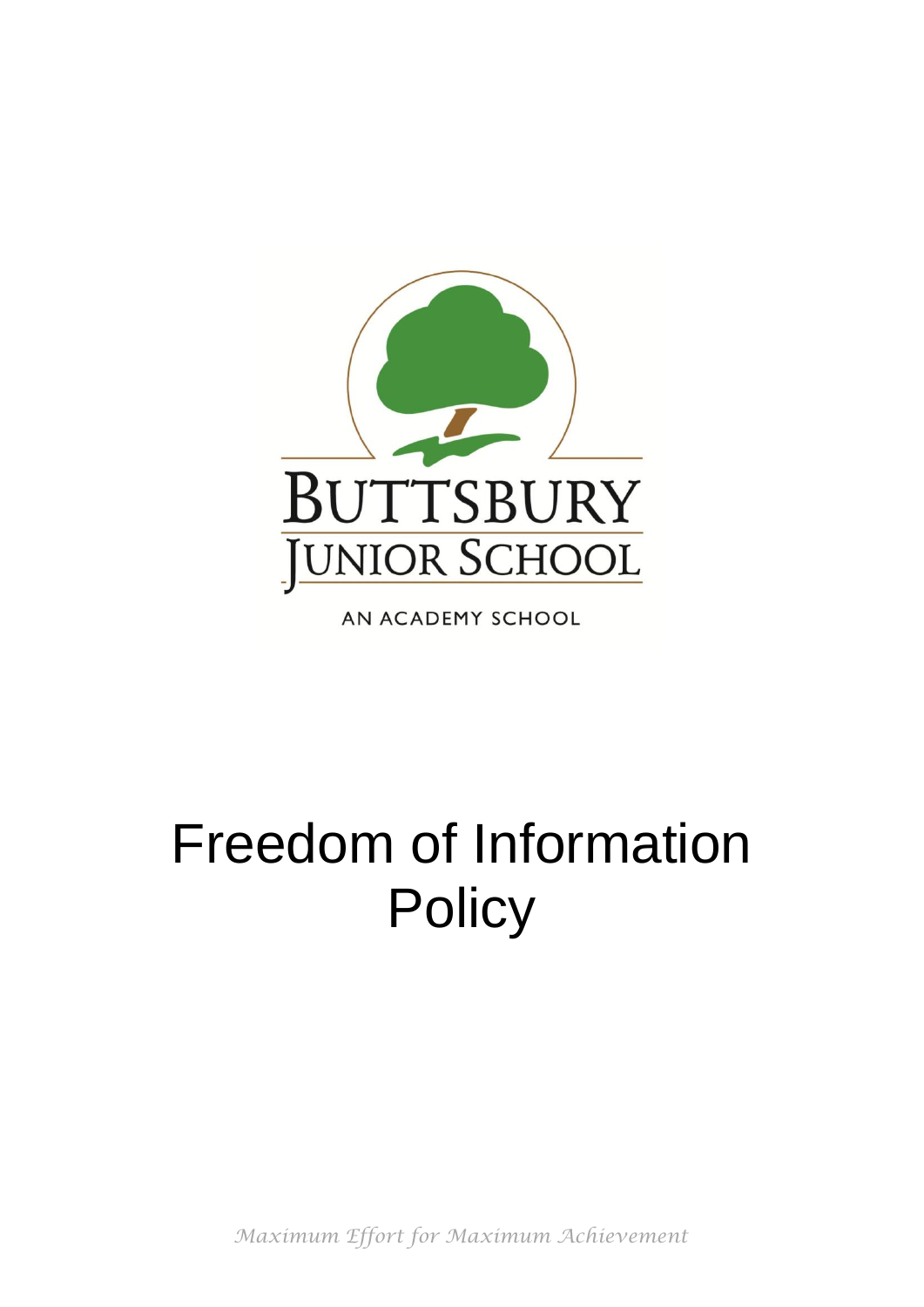

AN ACADEMY SCHOOL

# Freedom of Information **Policy**

*Maximum Effort for Maximum Achievement*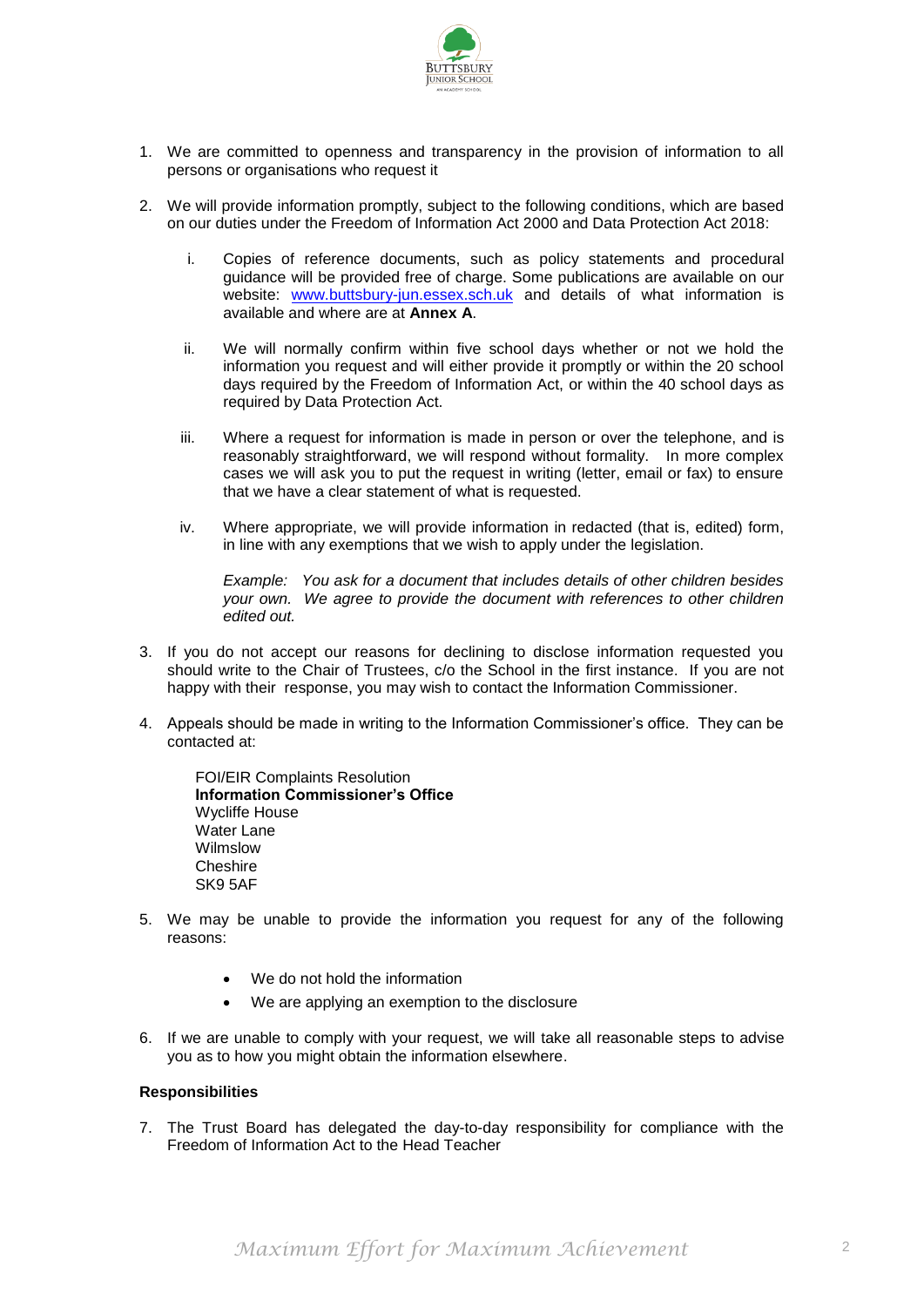

- 1. We are committed to openness and transparency in the provision of information to all persons or organisations who request it
- 2. We will provide information promptly, subject to the following conditions, which are based on our duties under the Freedom of Information Act 2000 and Data Protection Act 2018:
	- i. Copies of reference documents, such as policy statements and procedural guidance will be provided free of charge. Some publications are available on our website: [www.buttsbury-jun.essex.sch.uk](http://www.buttsbury-jun.essex.sch.uk/) and details of what information is available and where are at **Annex A**.
	- ii. We will normally confirm within five school days whether or not we hold the information you request and will either provide it promptly or within the 20 school days required by the Freedom of Information Act, or within the 40 school days as required by Data Protection Act.
	- iii. Where a request for information is made in person or over the telephone, and is reasonably straightforward, we will respond without formality. In more complex cases we will ask you to put the request in writing (letter, email or fax) to ensure that we have a clear statement of what is requested.
	- iv. Where appropriate, we will provide information in redacted (that is, edited) form, in line with any exemptions that we wish to apply under the legislation.

*Example: You ask for a document that includes details of other children besides your own. We agree to provide the document with references to other children edited out.*

- 3. If you do not accept our reasons for declining to disclose information requested you should write to the Chair of Trustees, c/o the School in the first instance. If you are not happy with their response, you may wish to contact the Information Commissioner.
- 4. Appeals should be made in writing to the Information Commissioner's office. They can be contacted at:

FOI/EIR Complaints Resolution **Information Commissioner's Office** Wycliffe House Water Lane Wilmslow **Cheshire** SK9 5AF

- 5. We may be unable to provide the information you request for any of the following reasons:
	- We do not hold the information
	- We are applying an exemption to the disclosure
- 6. If we are unable to comply with your request, we will take all reasonable steps to advise you as to how you might obtain the information elsewhere.

#### **Responsibilities**

7. The Trust Board has delegated the day-to-day responsibility for compliance with the Freedom of Information Act to the Head Teacher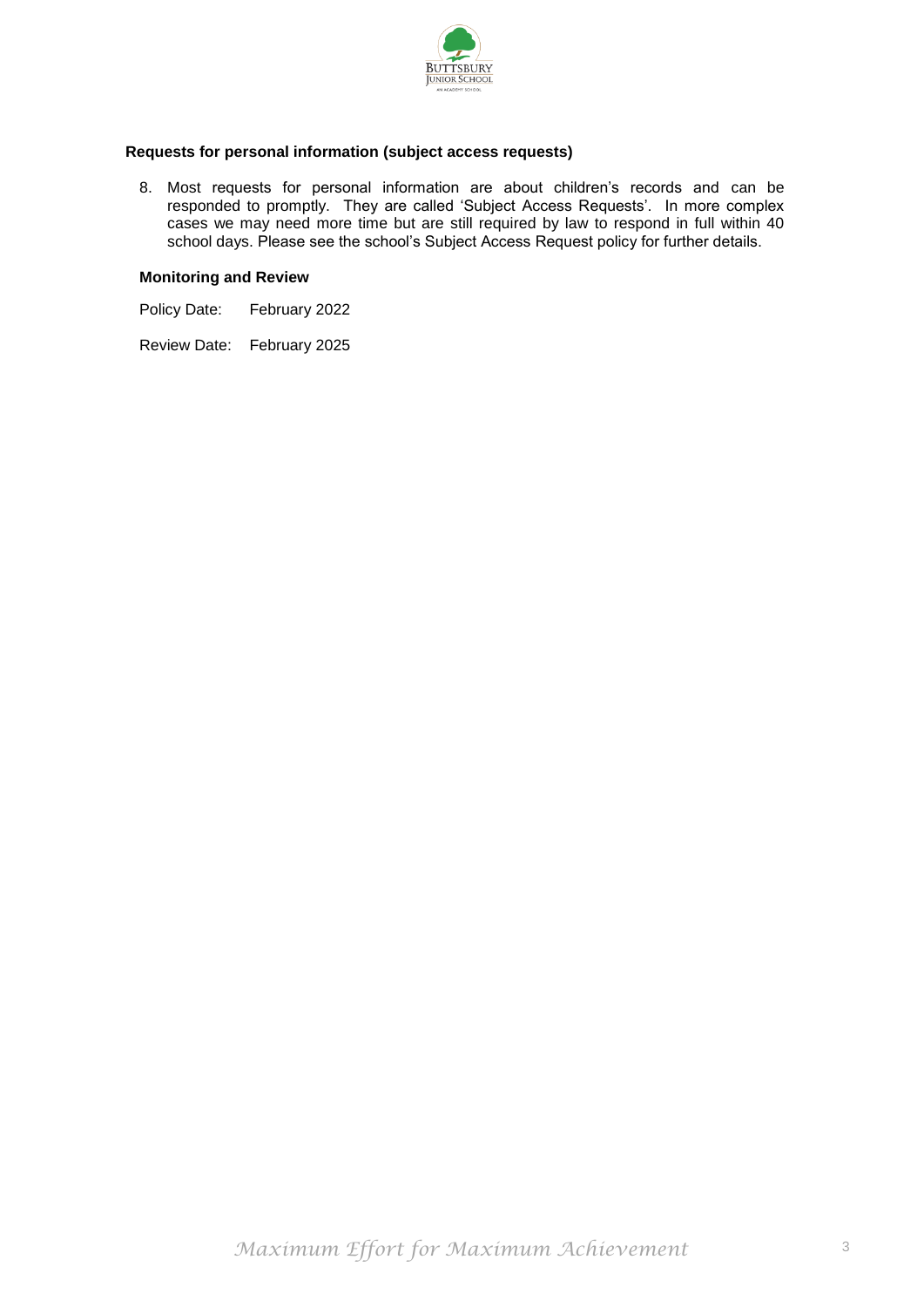

## **Requests for personal information (subject access requests)**

8. Most requests for personal information are about children's records and can be responded to promptly. They are called 'Subject Access Requests'. In more complex cases we may need more time but are still required by law to respond in full within 40 school days. Please see the school's Subject Access Request policy for further details.

#### **Monitoring and Review**

Policy Date: February 2022

Review Date: February 2025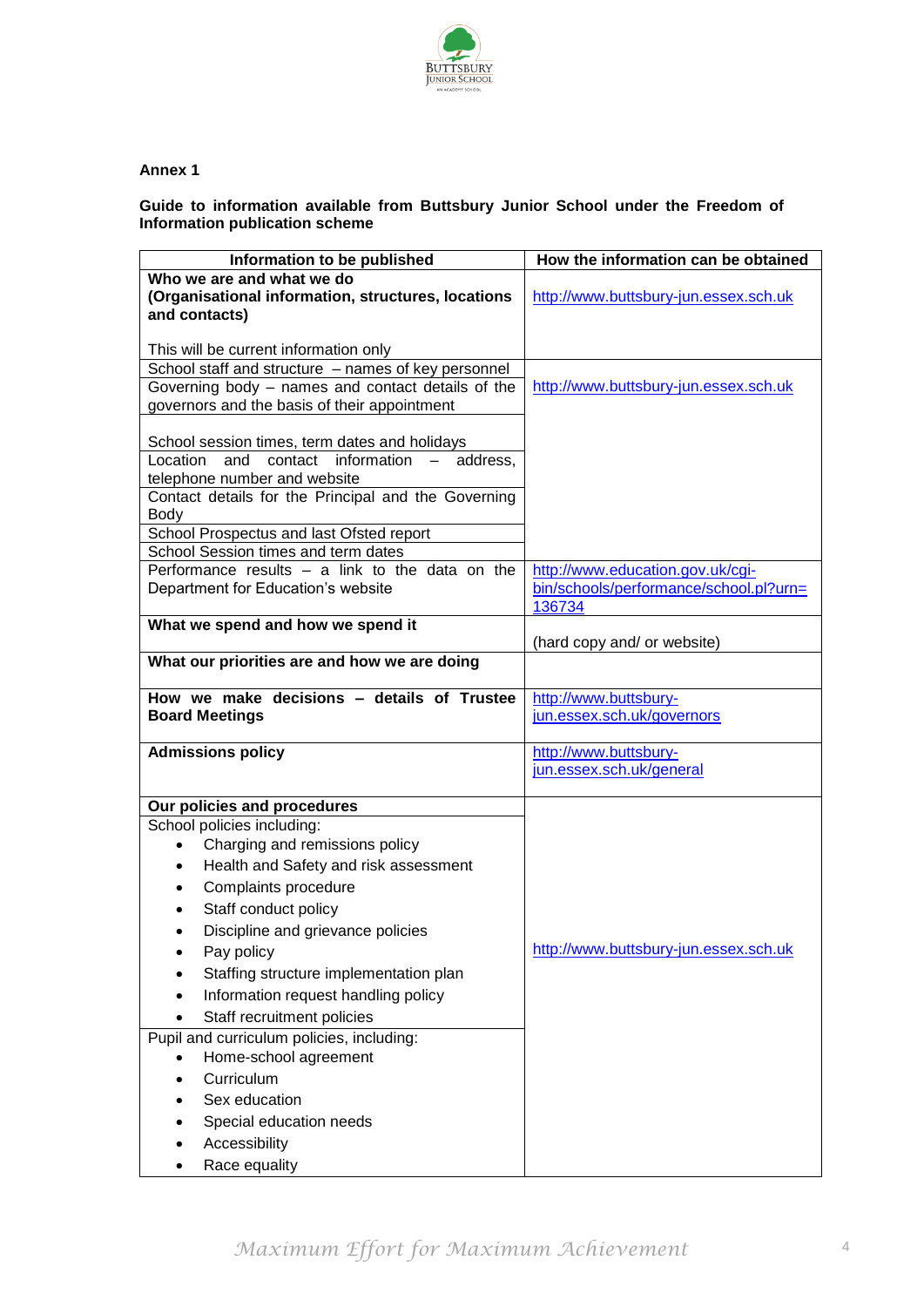

## **Annex 1**

# **Guide to information available from Buttsbury Junior School under the Freedom of Information publication scheme**

| Information to be published                         | How the information can be obtained               |
|-----------------------------------------------------|---------------------------------------------------|
| Who we are and what we do                           |                                                   |
| (Organisational information, structures, locations  | http://www.buttsbury-jun.essex.sch.uk             |
| and contacts)                                       |                                                   |
| This will be current information only               |                                                   |
| School staff and structure - names of key personnel |                                                   |
| Governing body - names and contact details of the   | http://www.buttsbury-jun.essex.sch.uk             |
| governors and the basis of their appointment        |                                                   |
|                                                     |                                                   |
| School session times, term dates and holidays       |                                                   |
| Location and contact information - address,         |                                                   |
| telephone number and website                        |                                                   |
| Contact details for the Principal and the Governing |                                                   |
| Body<br>School Prospectus and last Ofsted report    |                                                   |
| School Session times and term dates                 |                                                   |
| Performance results $-$ a link to the data on the   | http://www.education.gov.uk/cgi-                  |
| Department for Education's website                  | bin/schools/performance/school.pl?urn=            |
|                                                     | 136734                                            |
| What we spend and how we spend it                   |                                                   |
|                                                     | (hard copy and/ or website)                       |
| What our priorities are and how we are doing        |                                                   |
| How we make decisions - details of Trustee          | http://www.buttsbury-                             |
| <b>Board Meetings</b>                               | jun.essex.sch.uk/governors                        |
|                                                     |                                                   |
| <b>Admissions policy</b>                            | http://www.buttsbury-<br>jun.essex.sch.uk/general |
|                                                     |                                                   |
| Our policies and procedures                         |                                                   |
| School policies including:                          |                                                   |
| Charging and remissions policy<br>$\bullet$         |                                                   |
| Health and Safety and risk assessment               |                                                   |
| Complaints procedure<br>$\bullet$                   |                                                   |
| Staff conduct policy<br>$\bullet$                   |                                                   |
| Discipline and grievance policies<br>$\bullet$      |                                                   |
| Pay policy                                          | http://www.buttsbury-jun.essex.sch.uk             |
| Staffing structure implementation plan              |                                                   |
| Information request handling policy                 |                                                   |
| Staff recruitment policies<br>$\bullet$             |                                                   |
| Pupil and curriculum policies, including:           |                                                   |
| Home-school agreement                               |                                                   |
| Curriculum                                          |                                                   |
| Sex education                                       |                                                   |
|                                                     |                                                   |
| Special education needs                             |                                                   |
| Accessibility                                       |                                                   |
| Race equality                                       |                                                   |